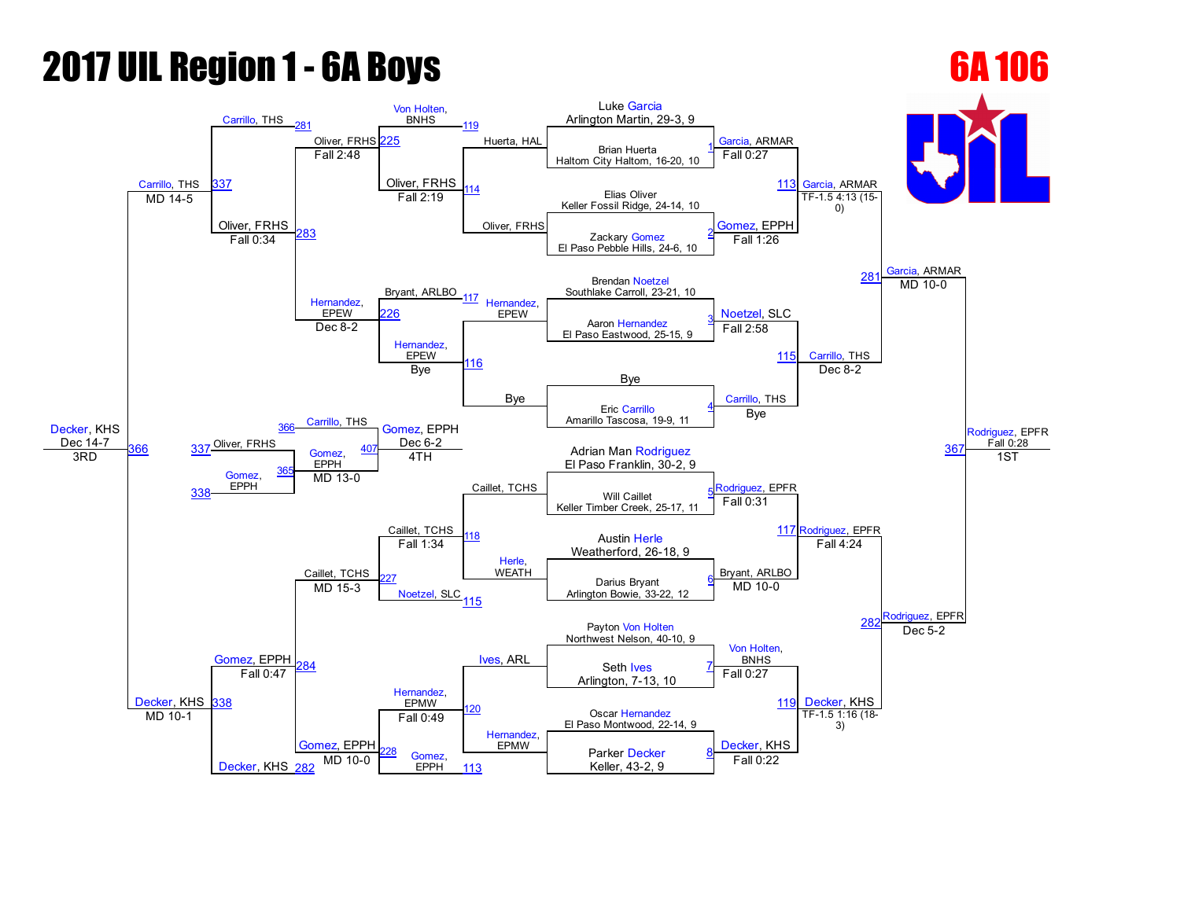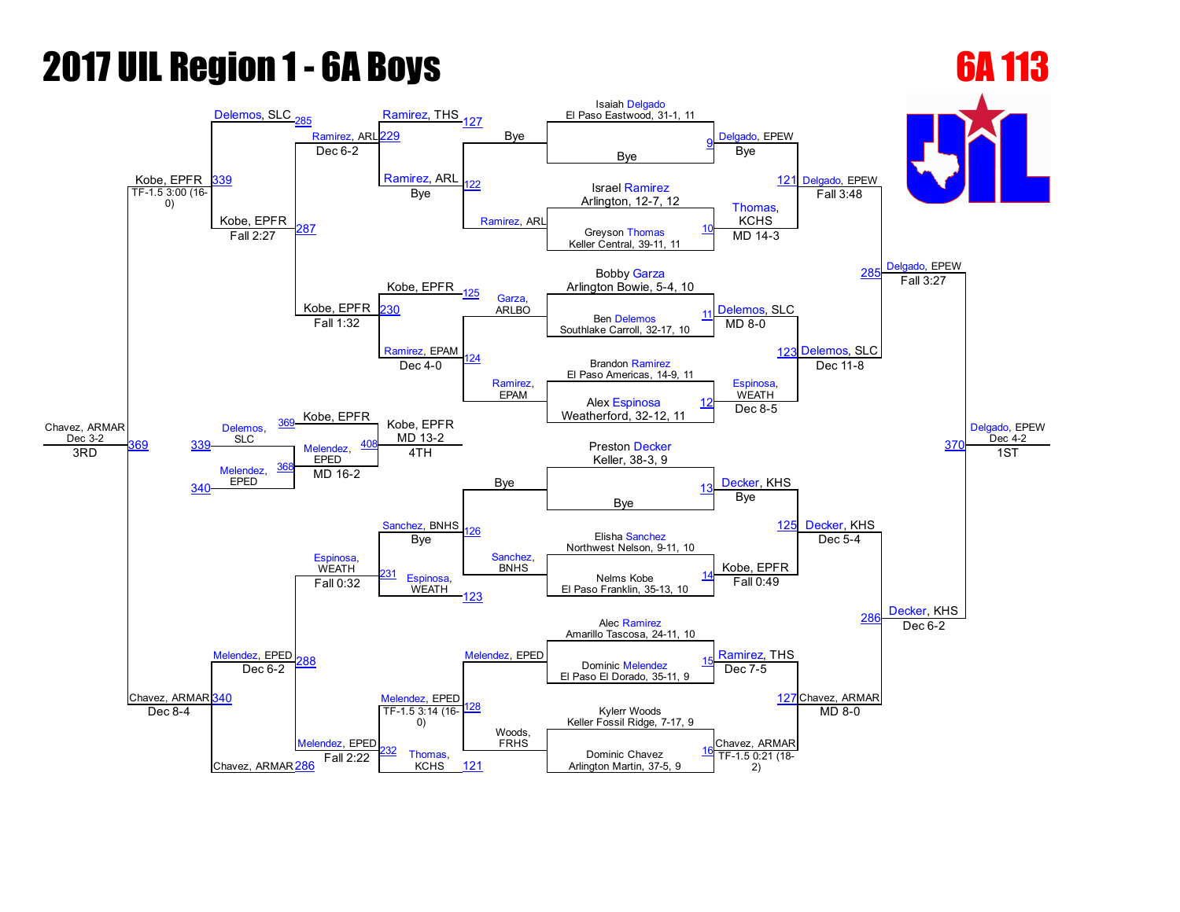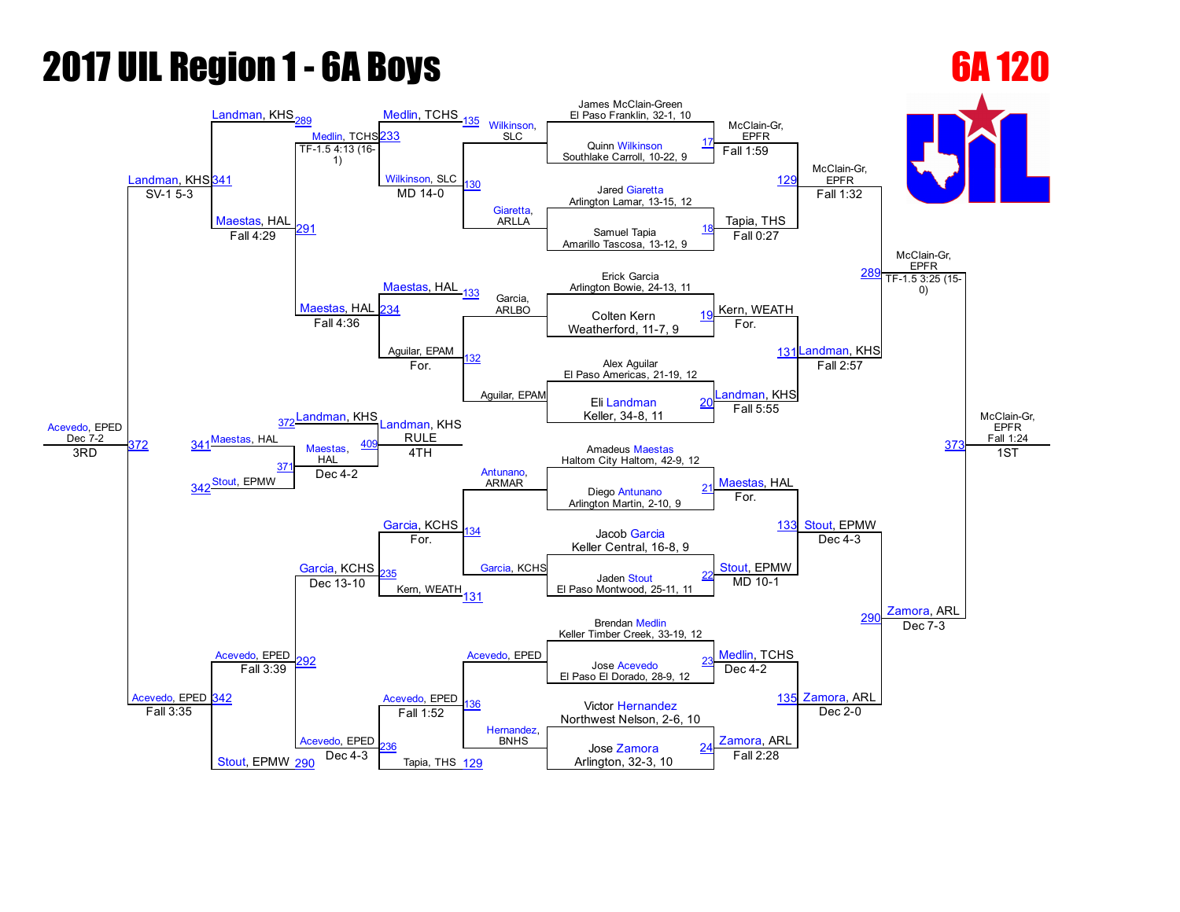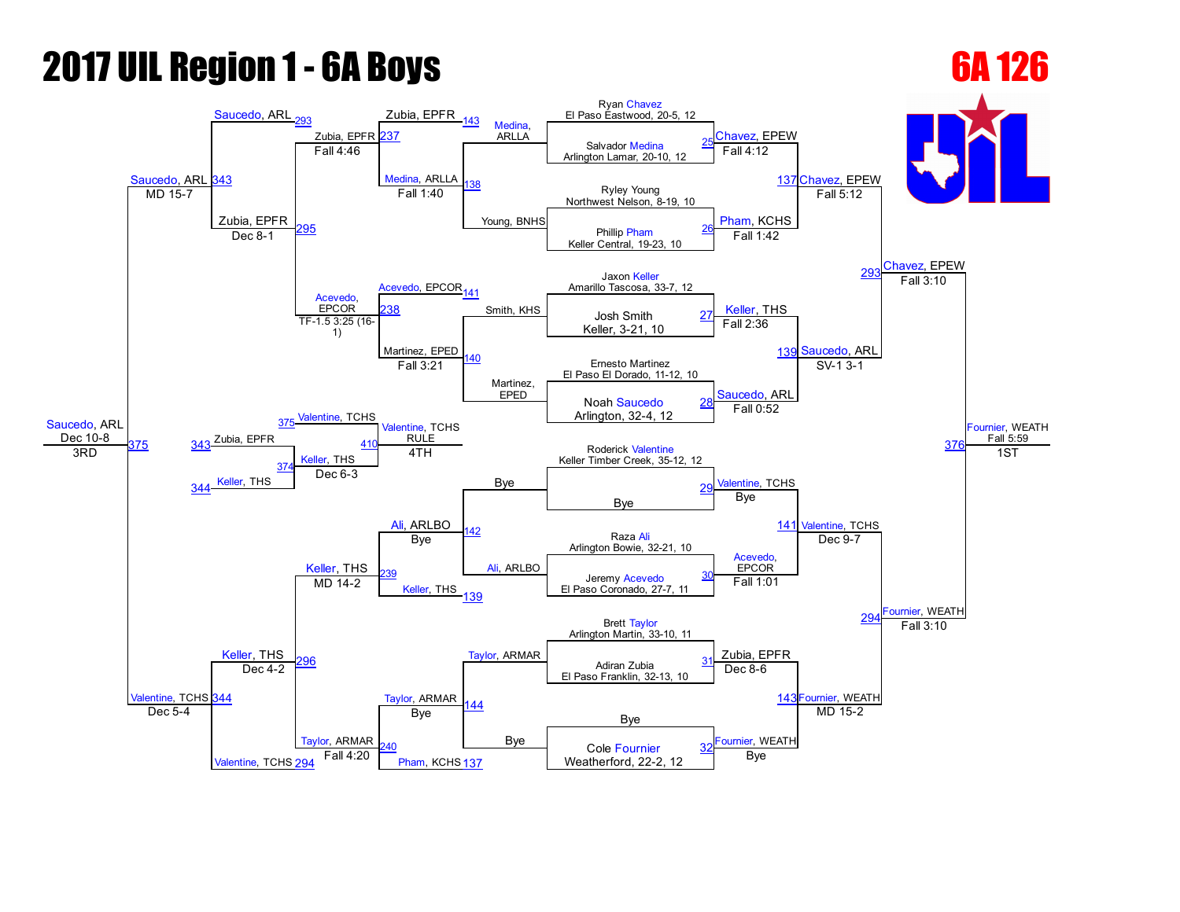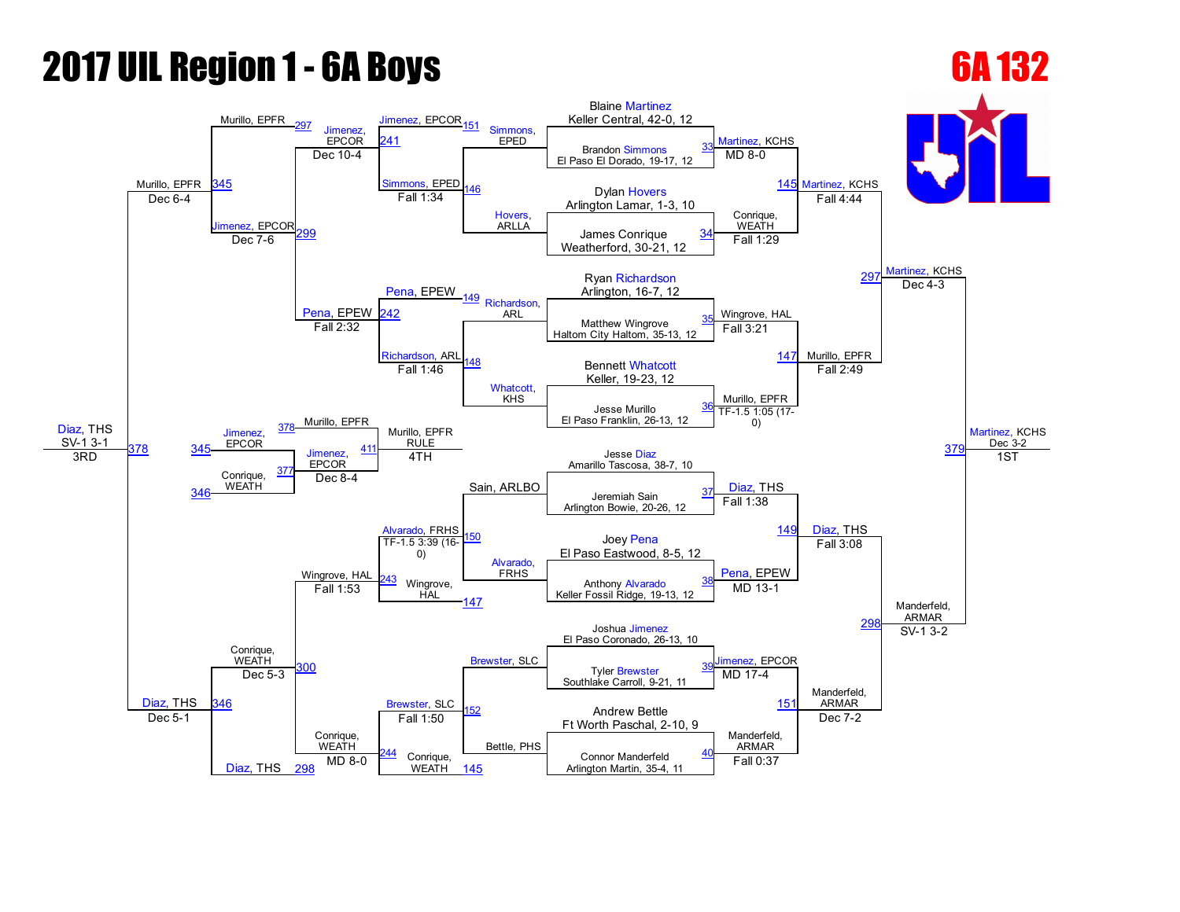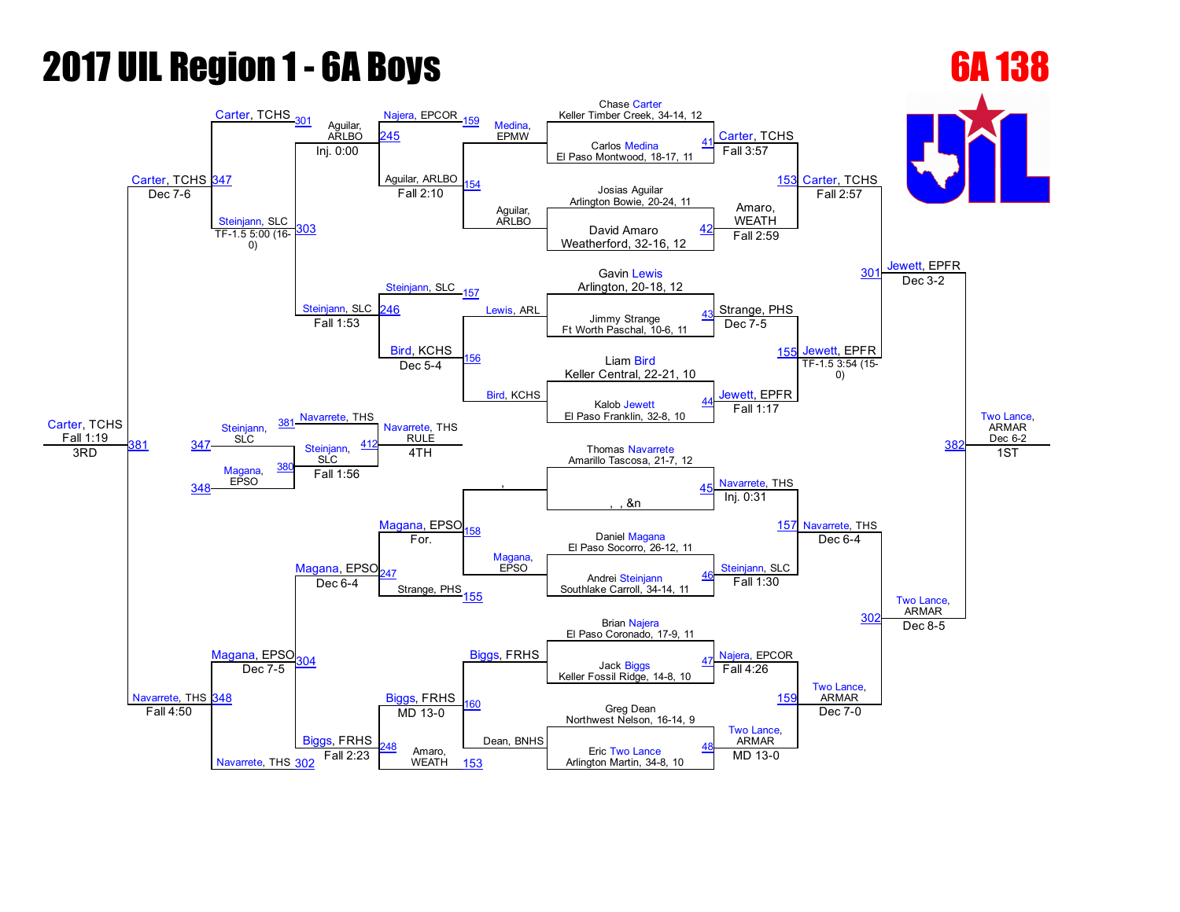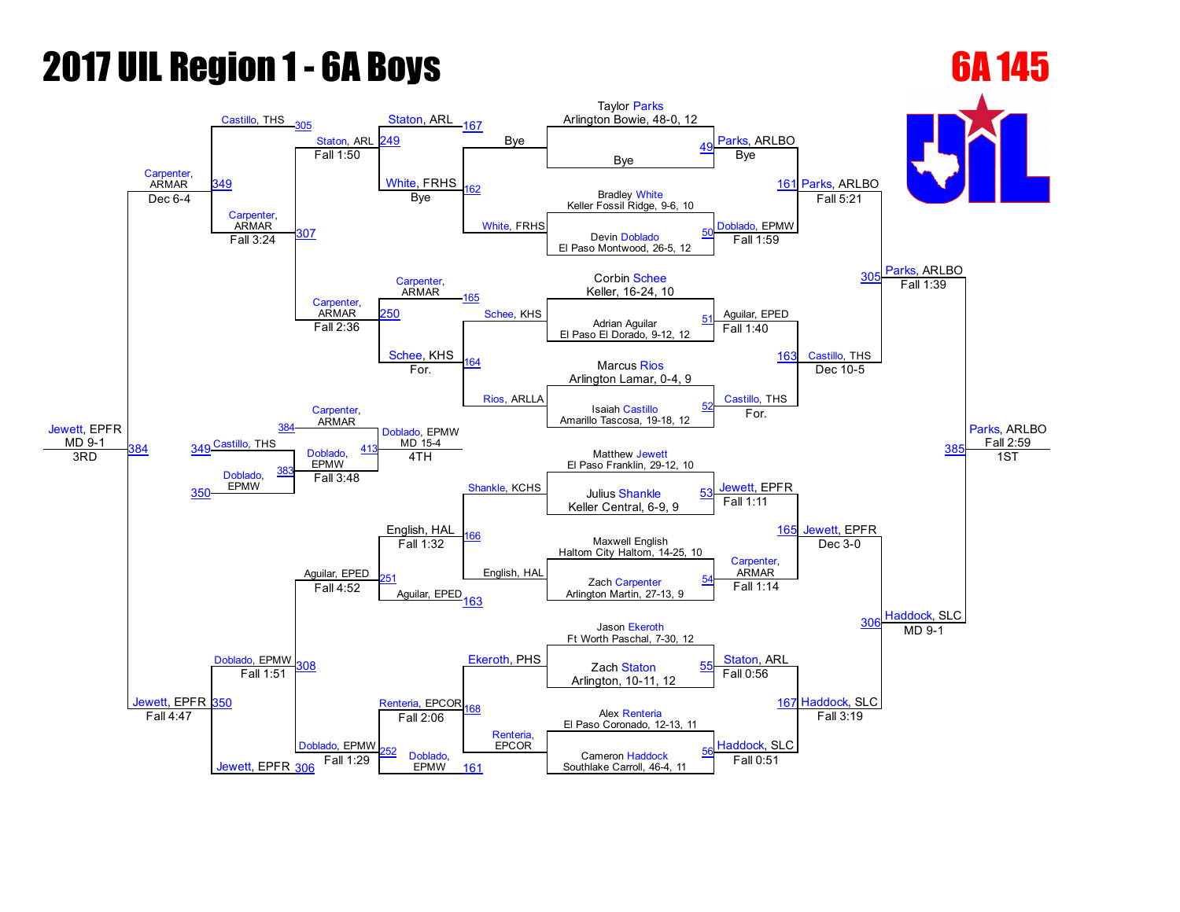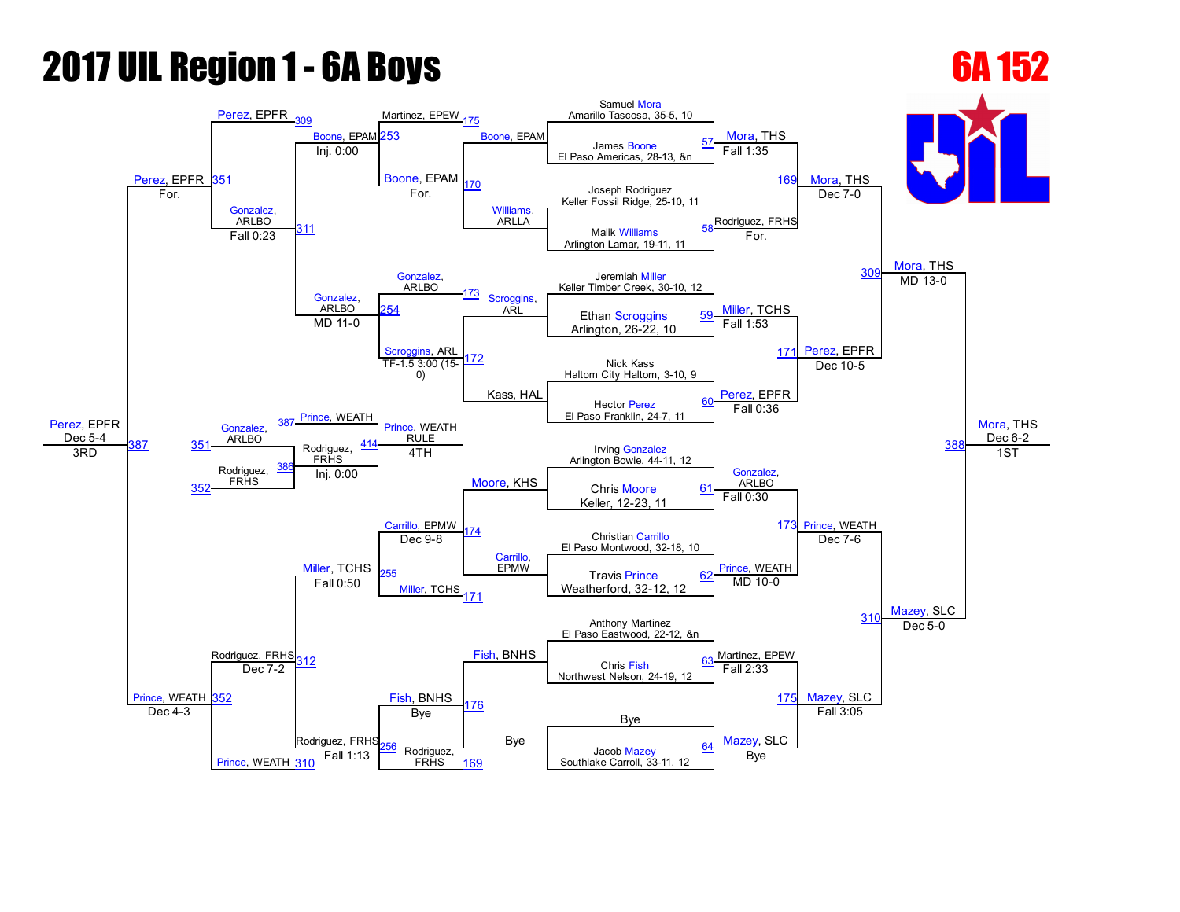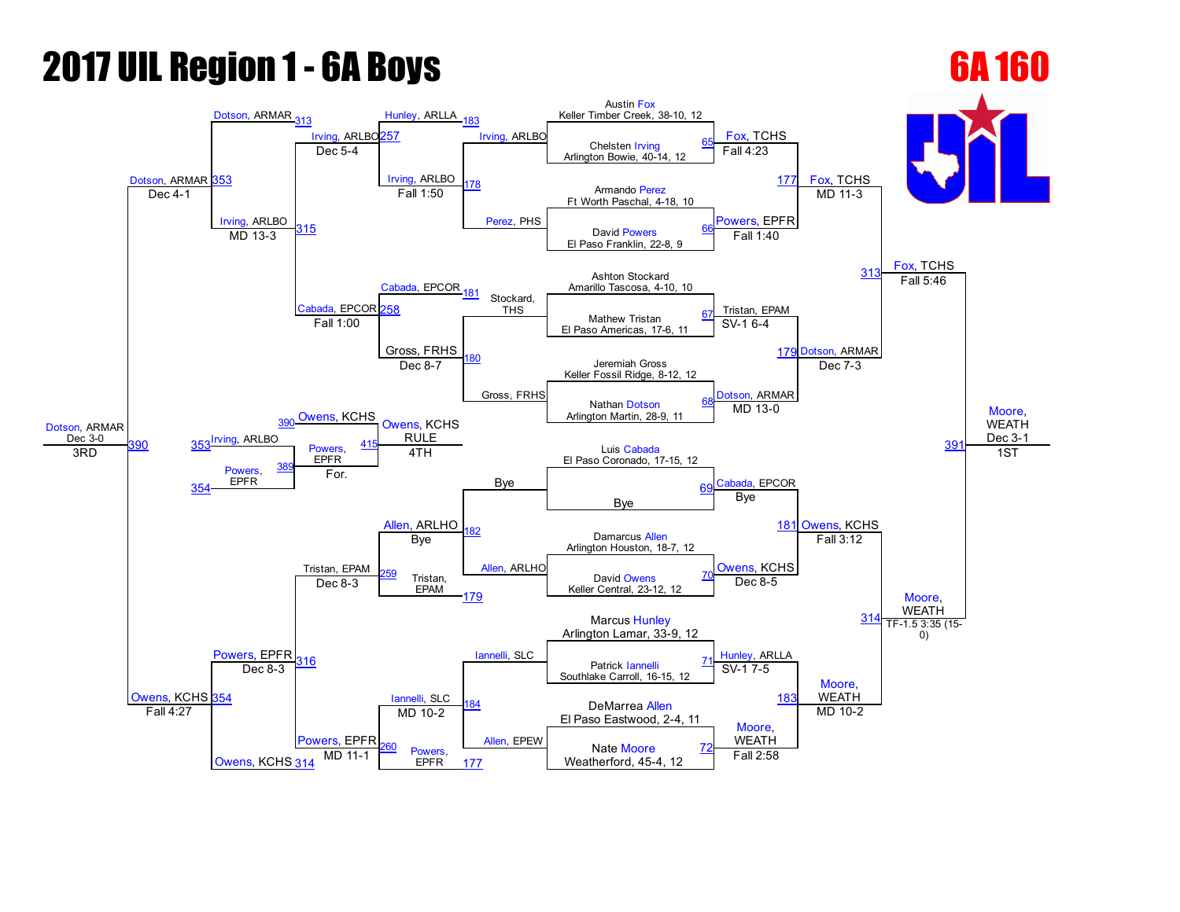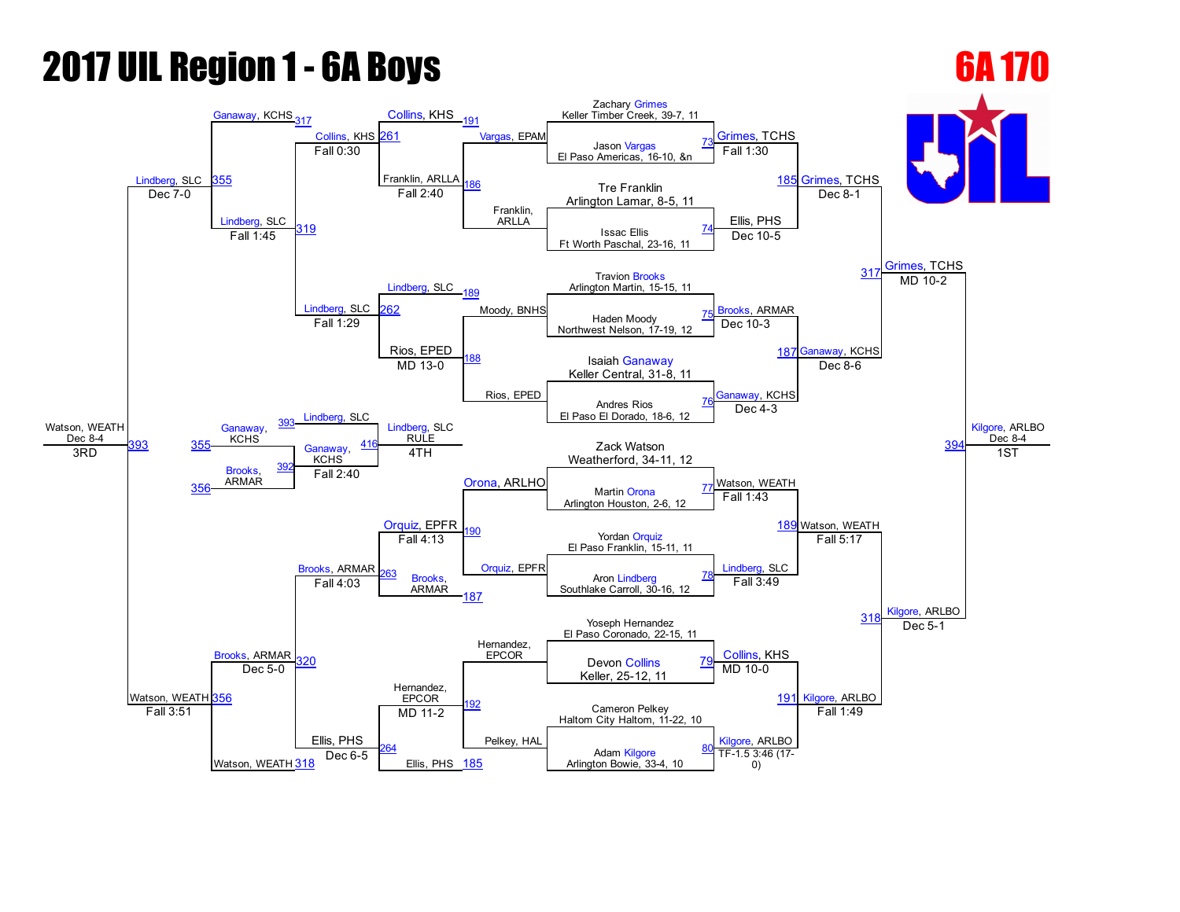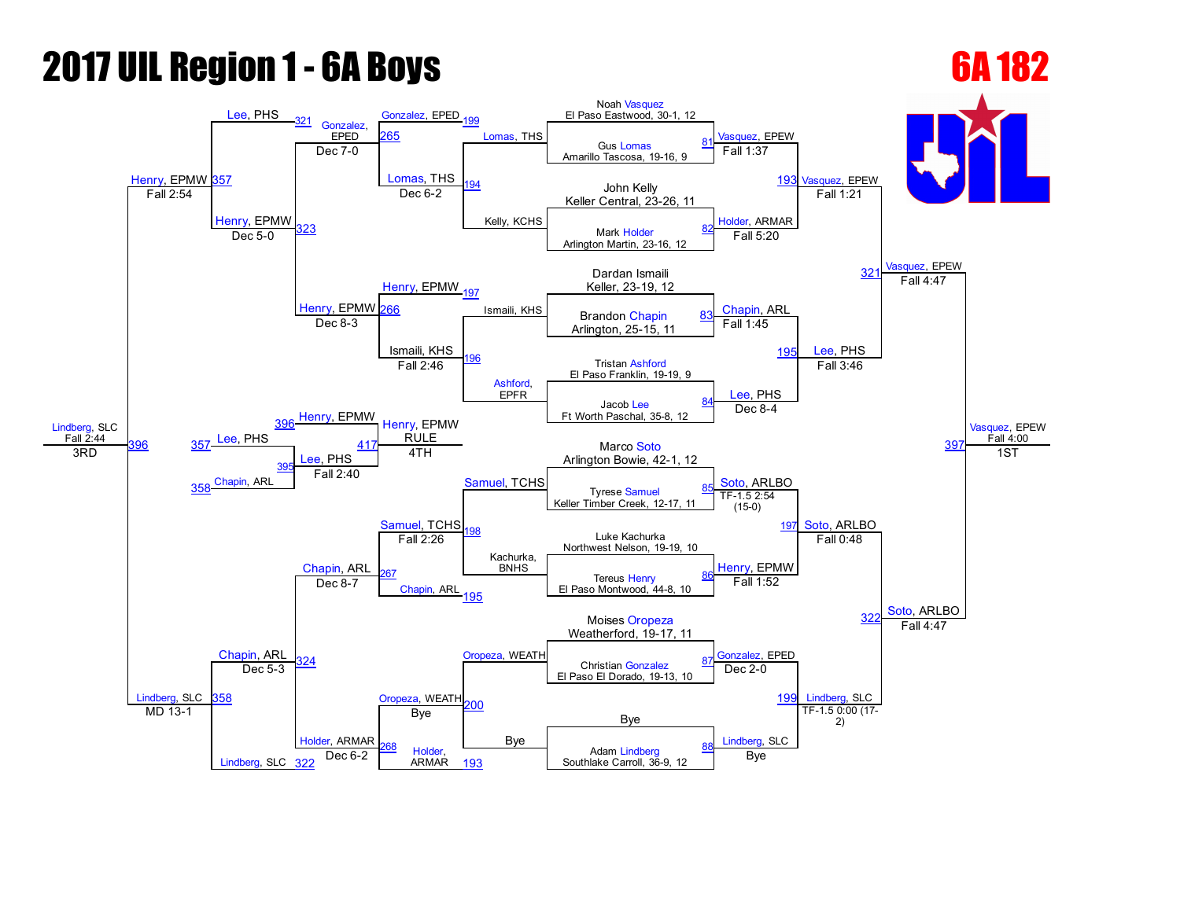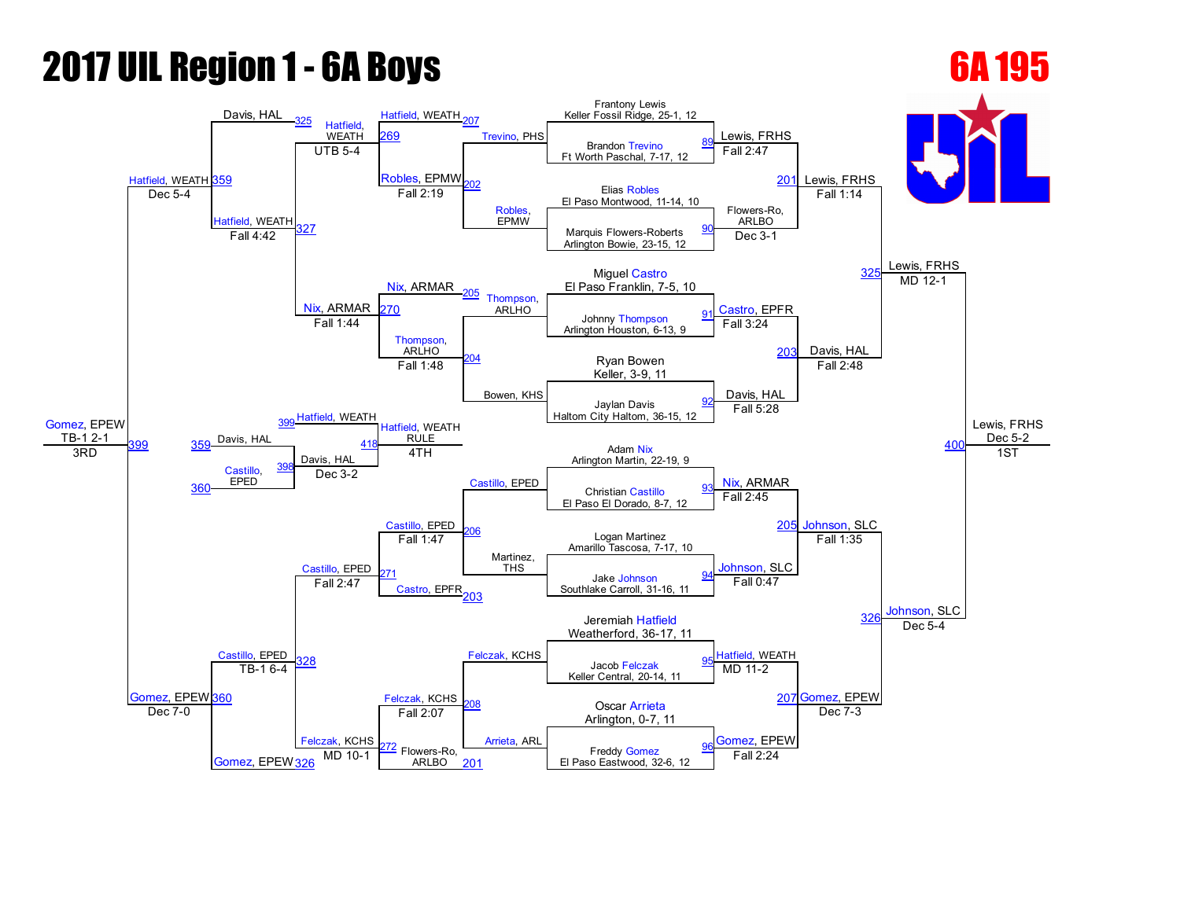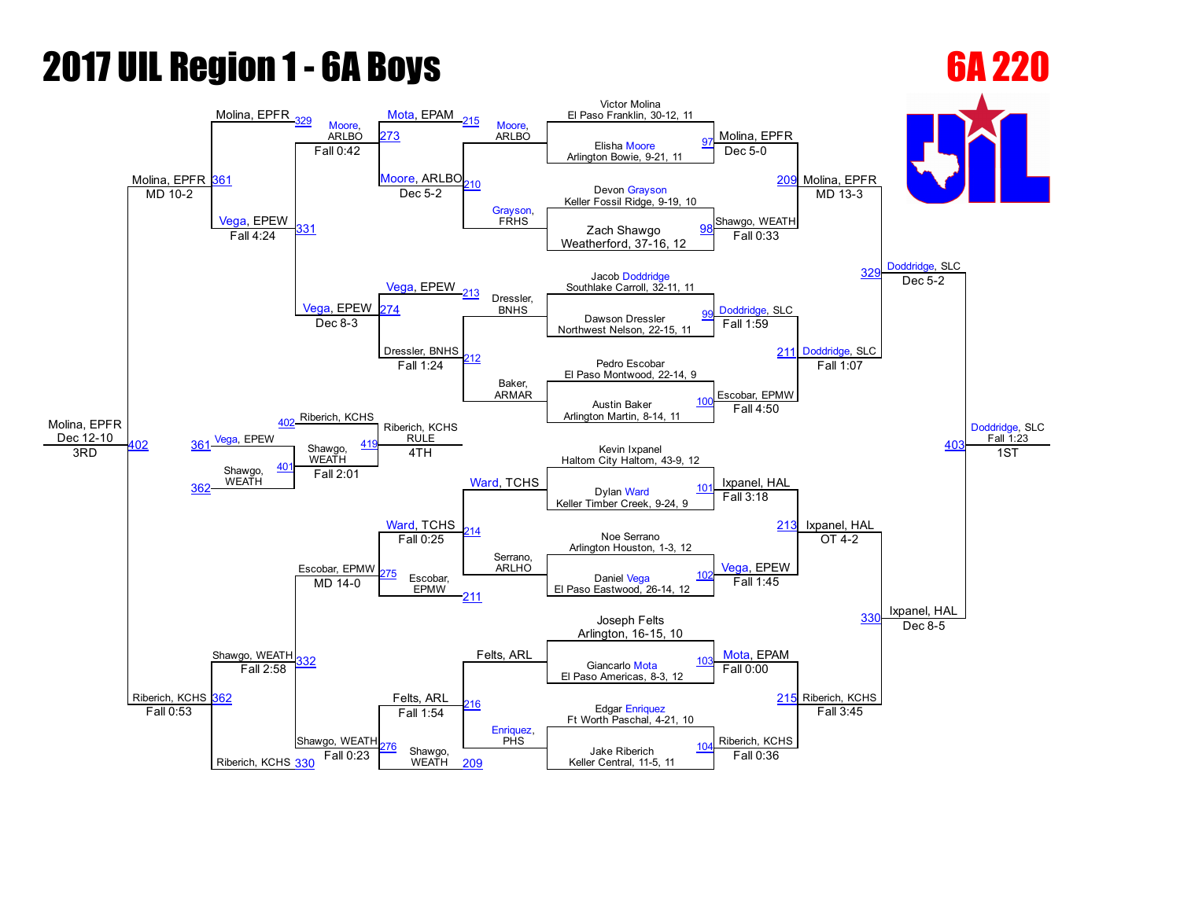